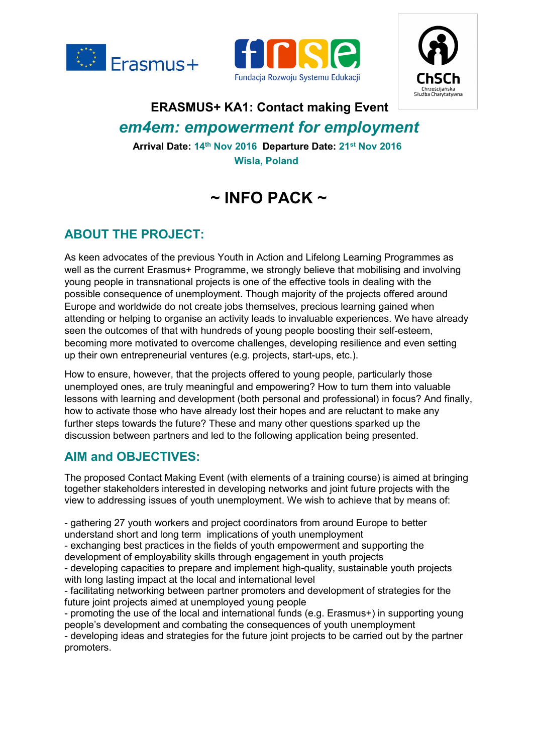





# **ERASMUS+ KA1: Contact making Event** *em4em: empowerment for employment*

**Arrival Date: 14th Nov 2016 Departure Date: 21st Nov 2016 Wisla, Poland**

# **~ INFO PACK ~**

## **ABOUT THE PROJECT:**

As keen advocates of the previous Youth in Action and Lifelong Learning Programmes as well as the current Erasmus+ Programme, we strongly believe that mobilising and involving young people in transnational projects is one of the effective tools in dealing with the possible consequence of unemployment. Though majority of the projects offered around Europe and worldwide do not create jobs themselves, precious learning gained when attending or helping to organise an activity leads to invaluable experiences. We have already seen the outcomes of that with hundreds of young people boosting their self-esteem, becoming more motivated to overcome challenges, developing resilience and even setting up their own entrepreneurial ventures (e.g. projects, start-ups, etc.).

How to ensure, however, that the projects offered to young people, particularly those unemployed ones, are truly meaningful and empowering? How to turn them into valuable lessons with learning and development (both personal and professional) in focus? And finally, how to activate those who have already lost their hopes and are reluctant to make any further steps towards the future? These and many other questions sparked up the discussion between partners and led to the following application being presented.

## **AIM and OBJECTIVES:**

The proposed Contact Making Event (with elements of a training course) is aimed at bringing together stakeholders interested in developing networks and joint future projects with the view to addressing issues of youth unemployment. We wish to achieve that by means of:

- gathering 27 youth workers and project coordinators from around Europe to better understand short and long term implications of youth unemployment

- exchanging best practices in the fields of youth empowerment and supporting the development of employability skills through engagement in youth projects

- developing capacities to prepare and implement high-quality, sustainable youth projects with long lasting impact at the local and international level

- facilitating networking between partner promoters and development of strategies for the future joint projects aimed at unemployed young people

- promoting the use of the local and international funds (e.g. Erasmus+) in supporting young people's development and combating the consequences of youth unemployment

- developing ideas and strategies for the future joint projects to be carried out by the partner promoters.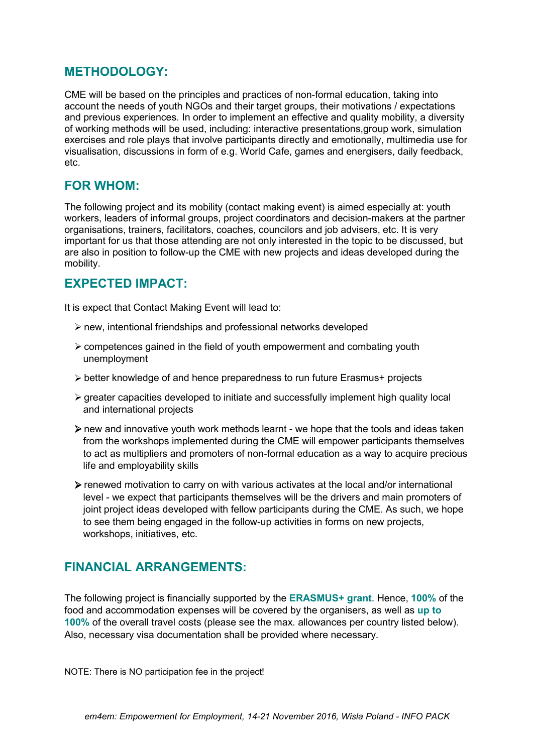### **METHODOLOGY:**

CME will be based on the principles and practices of non-formal education, taking into account the needs of youth NGOs and their target groups, their motivations / expectations and previous experiences. In order to implement an effective and quality mobility, a diversity of working methods will be used, including: interactive presentations,group work, simulation exercises and role plays that involve participants directly and emotionally, multimedia use for visualisation, discussions in form of e.g.World Cafe, games and energisers, daily feedback, etc.

### **FOR WHOM:**

The following project and its mobility (contact making event) is aimed especially at: youth workers, leaders of informal groups, project coordinators and decision-makers at the partner organisations, trainers, facilitators, coaches, councilors and job advisers, etc. It is very important for us that those attending are not only interested in the topic to be discussed, but are also in position to follow-up the CME with new projects and ideas developed during the mobility.

### **EXPECTED IMPACT:**

It is expect that Contact Making Event will lead to:

- new, intentional friendships and professional networks developed
- $\triangleright$  competences gained in the field of youth empowerment and combating youth unemployment
- better knowledge of and hence preparedness to run future Erasmus+ projects
- $\triangleright$  greater capacities developed to initiate and successfully implement high quality local and international projects
- $\triangleright$  new and innovative youth work methods learnt we hope that the tools and ideas taken from the workshops implemented during the CME will empower participants themselves to act as multipliers and promoters of non-formal education as a way to acquire precious life and employability skills
- $\triangleright$  renewed motivation to carry on with various activates at the local and/or international level - we expect that participants themselves will be the drivers and main promoters of joint project ideas developed with fellow participants during the CME. As such, we hope to see them being engaged in the follow-up activities in forms on new projects, workshops, initiatives, etc.

### **FINANCIAL ARRANGEMENTS:**

The following project is financially supported by the **ERASMUS+ grant**. Hence, **100%** of the food and accommodation expenses will be covered by the organisers, as well as **up to 100%** of the overall travel costs (please see the max. allowances per country listed below). Also, necessary visa documentation shall be provided where necessary.

NOTE: There is NO participation fee in the project!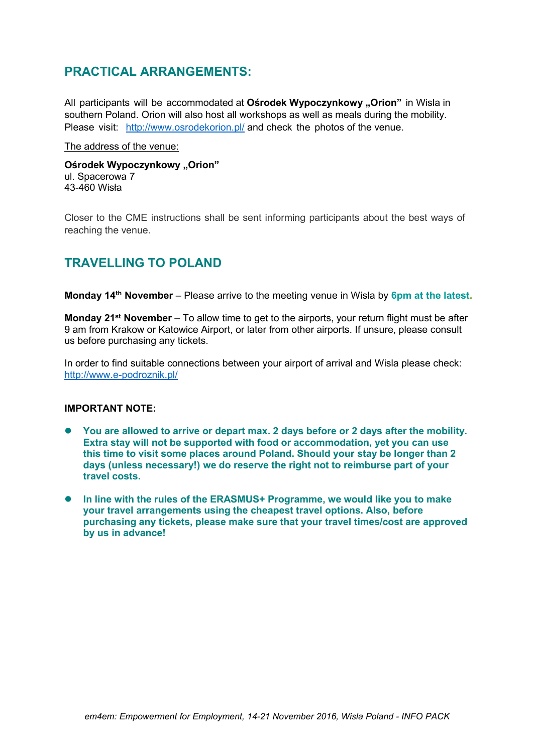### **PRACTICAL ARRANGEMENTS:**

All participants will be accommodated at **Ośrodek Wypoczynkowy** "**Orion**" in Wisla in southern Poland. Orion will also host all workshops as well as meals during the mobility. Please visit: <http://www.osrodekorion.pl/> and check the photos of the venue.

The address of the venue:

**Ośrodek Wypoczynkowy "Orion"** ul. Spacerowa 7 43-460 Wisła

Closer to the CME instructions shall be sent informing participants about the best ways of reaching the venue.

### **TRAVELLING TO POLAND**

**Monday 14th November** – Please arrive to the meeting venue in Wisla by **6pm at the latest.**

**Monday 21st November** – To allow time to get to the airports, your return flight must be after 9 am from Krakow or Katowice Airport, or later from other airports. If unsure, please consult us before purchasing any tickets.

In order to find suitable connections between your airport of arrival and Wisla please check: <http://www.e-podroznik.pl/>

#### **IMPORTANT NOTE:**

- **You are allowed to arrive or depart max. 2 days before or 2 days after the mobility. Extra stay will not be supported with food or accommodation, yet you can use this time to visit some places around Poland. Should your stay be longer than 2 days** (unless necessary!) we do reserve the right not to reimburse part of your **travel costs.**
- **In line with the rules of the ERASMUS+ Programme, we would like you to make your travel arrangements using the cheapest travel options. Also, before purchasing any tickets, please make sure that your travel times/cost are approved by us in advance!**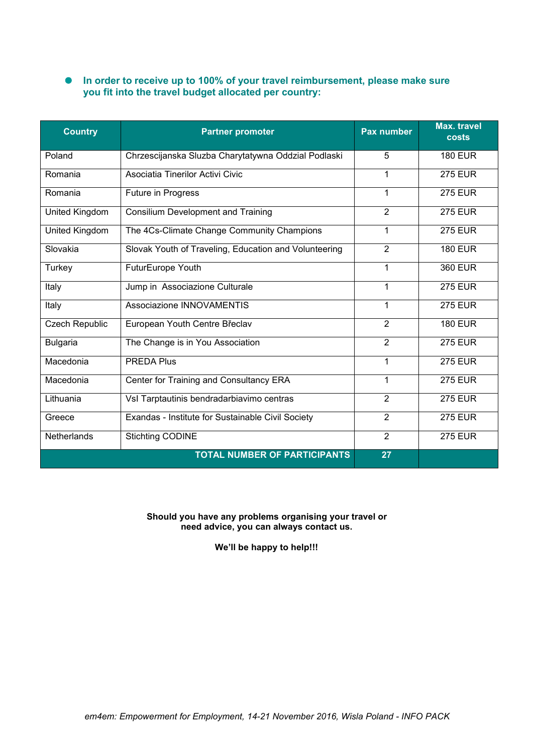#### **In order to receive up to 100% ofyour travel reimbursement, please make sure you fit into the travel budget allocated per country:**

| <b>Country</b>  | <b>Partner promoter</b>                               | Pax number     | <b>Max. travel</b><br><b>costs</b> |
|-----------------|-------------------------------------------------------|----------------|------------------------------------|
| Poland          | Chrzescijanska Sluzba Charytatywna Oddzial Podlaski   | 5              | <b>180 EUR</b>                     |
| Romania         | Asociatia Tinerilor Activi Civic                      | 1              | <b>275 EUR</b>                     |
| Romania         | Future in Progress                                    | 1              | <b>275 EUR</b>                     |
| United Kingdom  | <b>Consilium Development and Training</b>             | $\overline{2}$ | <b>275 EUR</b>                     |
| United Kingdom  | The 4Cs-Climate Change Community Champions            | $\mathbf 1$    | <b>275 EUR</b>                     |
| Slovakia        | Slovak Youth of Traveling, Education and Volunteering | $\overline{2}$ | <b>180 EUR</b>                     |
| Turkey          | FuturEurope Youth                                     | 1              | <b>360 EUR</b>                     |
| Italy           | Jump in Associazione Culturale                        | $\mathbf 1$    | <b>275 EUR</b>                     |
| Italy           | Associazione INNOVAMENTIS                             | $\mathbf 1$    | <b>275 EUR</b>                     |
| Czech Republic  | European Youth Centre Břeclav                         | 2              | <b>180 EUR</b>                     |
| <b>Bulgaria</b> | The Change is in You Association                      | $\overline{2}$ | <b>275 EUR</b>                     |
| Macedonia       | <b>PREDA Plus</b>                                     | $\mathbf 1$    | <b>275 EUR</b>                     |
| Macedonia       | Center for Training and Consultancy ERA               | 1              | <b>275 EUR</b>                     |
| Lithuania       | Vsl Tarptautinis bendradarbiavimo centras             | $\overline{2}$ | <b>275 EUR</b>                     |
| Greece          | Exandas - Institute for Sustainable Civil Society     | $\overline{2}$ | <b>275 EUR</b>                     |
| Netherlands     | <b>Stichting CODINE</b>                               | 2              | <b>275 EUR</b>                     |
|                 | <b>TOTAL NUMBER OF PARTICIPANTS</b>                   | 27             |                                    |

#### **Should you have any problems organising your travel or need advice, you can always contact us.**

**We'll be happy to help!!!**